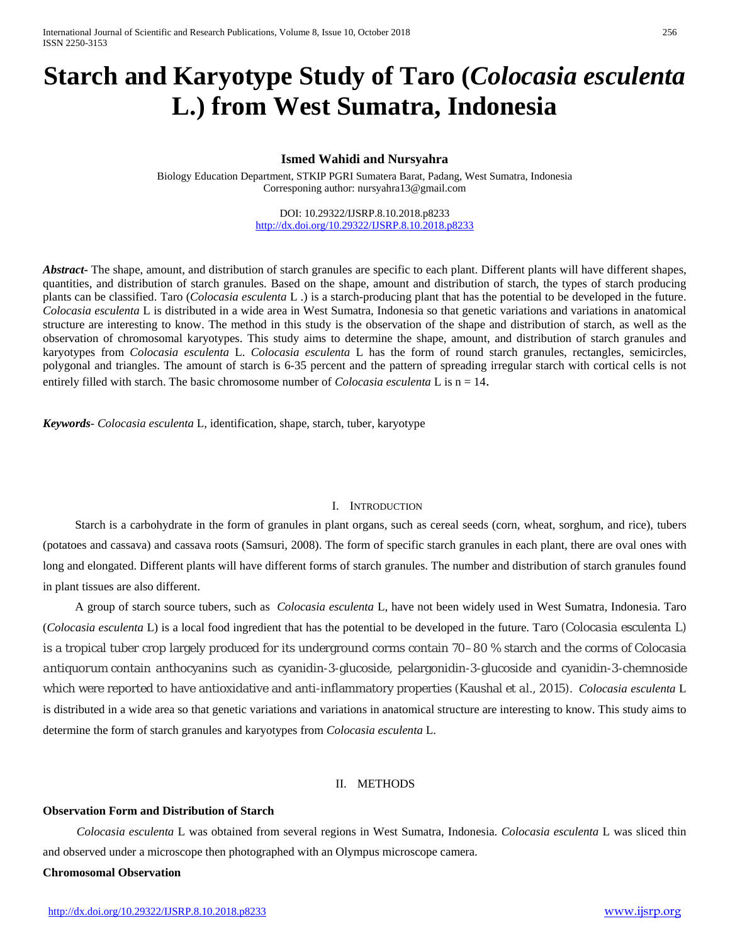# **Starch and Karyotype Study of Taro (***Colocasia esculenta* **L.) from West Sumatra, Indonesia**

## **Ismed Wahidi and Nursyahra**

Biology Education Department, STKIP PGRI Sumatera Barat, Padang, West Sumatra, Indonesia Corresponing author: [nursyahra13@gmail.com](mailto:nursyahra13@gmail.com)

> DOI: 10.29322/IJSRP.8.10.2018.p8233 <http://dx.doi.org/10.29322/IJSRP.8.10.2018.p8233>

*Abstract* The shape, amount, and distribution of starch granules are specific to each plant. Different plants will have different shapes, quantities, and distribution of starch granules. Based on the shape, amount and distribution of starch, the types of starch producing plants can be classified. Taro (*Colocasia esculenta* L .) is a starch-producing plant that has the potential to be developed in the future. *Colocasia esculenta* L is distributed in a wide area in West Sumatra, Indonesia so that genetic variations and variations in anatomical structure are interesting to know. The method in this study is the observation of the shape and distribution of starch, as well as the observation of chromosomal karyotypes. This study aims to determine the shape, amount, and distribution of starch granules and karyotypes from *Colocasia esculenta* L. *Colocasia esculenta* L has the form of round starch granules, rectangles, semicircles, polygonal and triangles. The amount of starch is 6-35 percent and the pattern of spreading irregular starch with cortical cells is not entirely filled with starch. The basic chromosome number of *Colocasia esculenta* L is n = 14.

*Keywords*- *Colocasia esculenta* L*,* identification, shape, starch, tuber, karyotype

## I. INTRODUCTION

Starch is a carbohydrate in the form of granules in plant organs, such as cereal seeds (corn, wheat, sorghum, and rice), tubers (potatoes and cassava) and cassava roots (Samsuri, 2008). The form of specific starch granules in each plant, there are oval ones with long and elongated. Different plants will have different forms of starch granules. The number and distribution of starch granules found in plant tissues are also different.

A group of starch source tubers, such as *Colocasia esculenta* L, have not been widely used in West Sumatra, Indonesia. Taro (*Colocasia esculenta* L) is a local food ingredient that has the potential to be developed in the future. Taro (*Colocasia esculenta* L*)* is a tropical tuber crop largely produced for its underground corms contain 70–80 % starch and the corms of *Colocasia antiquorum* contain anthocyanins such as cyanidin-3-glucoside, pelargonidin-3-glucoside and cyanidin-3-chemnoside which were reported to have antioxidative and anti-inflammatory properties (Kaushal *et al*., 2015). *Colocasia esculenta* L is distributed in a wide area so that genetic variations and variations in anatomical structure are interesting to know. This study aims to determine the form of starch granules and karyotypes from *Colocasia esculenta* L.

## II. METHODS

## **Observation Form and Distribution of Starch**

*Colocasia esculenta* L was obtained from several regions in West Sumatra, Indonesia. *Colocasia esculenta* L was sliced thin and observed under a microscope then photographed with an Olympus microscope camera.

#### **Chromosomal Observation**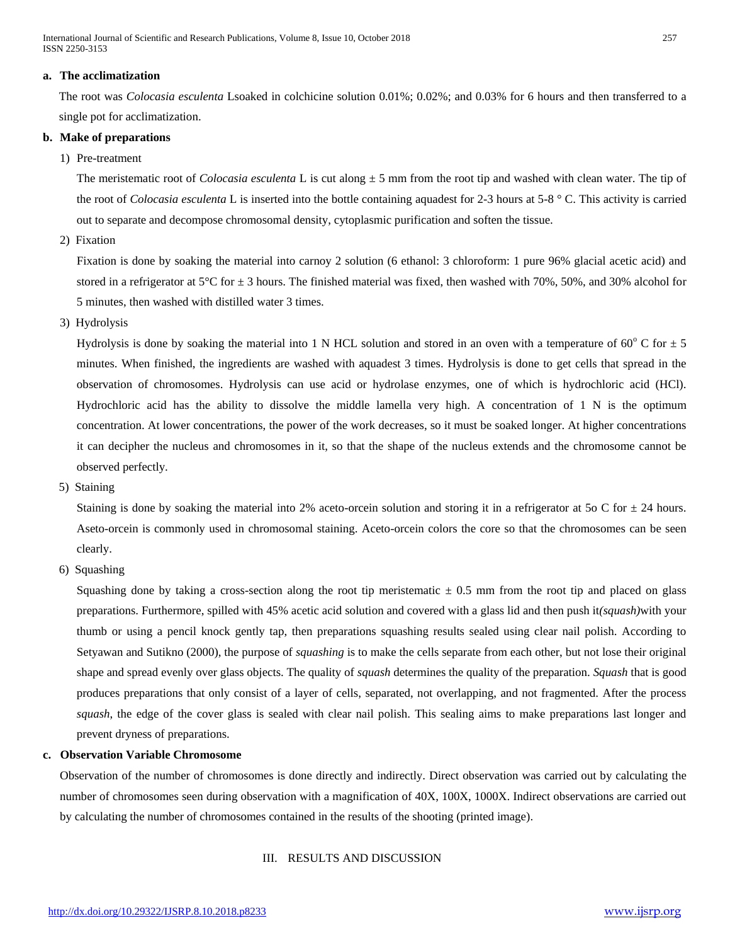International Journal of Scientific and Research Publications, Volume 8, Issue 10, October 2018 257 ISSN 2250-3153

## **a. The acclimatization**

The root was *Colocasia esculenta* Lsoaked in colchicine solution 0.01%; 0.02%; and 0.03% for 6 hours and then transferred to a single pot for acclimatization.

## **b. Make of preparations**

1) Pre-treatment

The meristematic root of *Colocasia esculenta* L is cut along ± 5 mm from the root tip and washed with clean water. The tip of the root of *Colocasia esculenta* L is inserted into the bottle containing aquadest for 2-3 hours at 5-8 ° C. This activity is carried out to separate and decompose chromosomal density, cytoplasmic purification and soften the tissue.

2) Fixation

Fixation is done by soaking the material into carnoy 2 solution (6 ethanol: 3 chloroform: 1 pure 96% glacial acetic acid) and stored in a refrigerator at  $5^{\circ}$ C for  $\pm 3$  hours. The finished material was fixed, then washed with 70%, 50%, and 30% alcohol for 5 minutes, then washed with distilled water 3 times.

3) Hydrolysis

Hydrolysis is done by soaking the material into 1 N HCL solution and stored in an oven with a temperature of 60 $^{\circ}$  C for  $\pm$  5 minutes. When finished, the ingredients are washed with aquadest 3 times. Hydrolysis is done to get cells that spread in the observation of chromosomes. Hydrolysis can use acid or hydrolase enzymes, one of which is hydrochloric acid (HCl). Hydrochloric acid has the ability to dissolve the middle lamella very high. A concentration of  $1 \text{ N}$  is the optimum concentration. At lower concentrations, the power of the work decreases, so it must be soaked longer. At higher concentrations it can decipher the nucleus and chromosomes in it, so that the shape of the nucleus extends and the chromosome cannot be observed perfectly.

5) Staining

Staining is done by soaking the material into 2% aceto-orcein solution and storing it in a refrigerator at 5o C for  $\pm$  24 hours. Aseto-orcein is commonly used in chromosomal staining. Aceto-orcein colors the core so that the chromosomes can be seen clearly.

6) Squashing

Squashing done by taking a cross-section along the root tip meristematic  $\pm$  0.5 mm from the root tip and placed on glass preparations. Furthermore, spilled with 45% acetic acid solution and covered with a glass lid and then push it*(squash)*with your thumb or using a pencil knock gently tap, then preparations squashing results sealed using clear nail polish. According to Setyawan and Sutikno (2000), the purpose of *squashing* is to make the cells separate from each other, but not lose their original shape and spread evenly over glass objects. The quality of *squash* determines the quality of the preparation. *Squash* that is good produces preparations that only consist of a layer of cells, separated, not overlapping, and not fragmented. After the process *squash*, the edge of the cover glass is sealed with clear nail polish. This sealing aims to make preparations last longer and prevent dryness of preparations.

# **c. Observation Variable Chromosome**

Observation of the number of chromosomes is done directly and indirectly. Direct observation was carried out by calculating the number of chromosomes seen during observation with a magnification of 40X, 100X, 1000X. Indirect observations are carried out by calculating the number of chromosomes contained in the results of the shooting (printed image).

# III. RESULTS AND DISCUSSION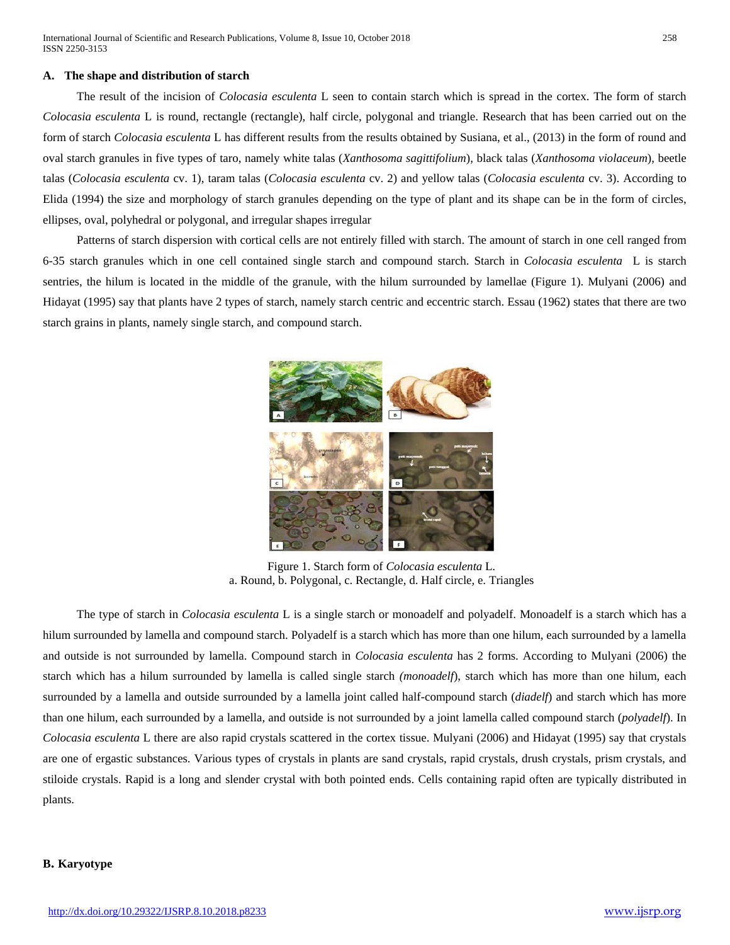# **A. The shape and distribution of starch**

The result of the incision of *Colocasia esculenta* L seen to contain starch which is spread in the cortex. The form of starch *Colocasia esculenta* L is round, rectangle (rectangle), half circle, polygonal and triangle. Research that has been carried out on the form of starch *Colocasia esculenta* L has different results from the results obtained by Susiana, et al., (2013) in the form of round and oval starch granules in five types of taro, namely white talas (*Xanthosoma sagittifolium*), black talas (*Xanthosoma violaceum*), beetle talas (*Colocasia esculenta* cv. 1), taram talas (*Colocasia esculenta* cv. 2) and yellow talas (*Colocasia esculenta* cv. 3). According to Elida (1994) the size and morphology of starch granules depending on the type of plant and its shape can be in the form of circles, ellipses, oval, polyhedral or polygonal, and irregular shapes irregular

Patterns of starch dispersion with cortical cells are not entirely filled with starch. The amount of starch in one cell ranged from 6-35 starch granules which in one cell contained single starch and compound starch. Starch in *Colocasia esculenta* L is starch sentries, the hilum is located in the middle of the granule, with the hilum surrounded by lamellae (Figure 1). Mulyani (2006) and Hidayat (1995) say that plants have 2 types of starch, namely starch centric and eccentric starch. Essau (1962) states that there are two starch grains in plants, namely single starch, and compound starch.



Figure 1. Starch form of *Colocasia esculenta* L*.*  a. Round, b. Polygonal, c. Rectangle, d. Half circle, e. Triangles

The type of starch in *Colocasia esculenta* L is a single starch or monoadelf and polyadelf. Monoadelf is a starch which has a hilum surrounded by lamella and compound starch. Polyadelf is a starch which has more than one hilum, each surrounded by a lamella and outside is not surrounded by lamella. Compound starch in *Colocasia esculenta* has 2 forms. According to Mulyani (2006) the starch which has a hilum surrounded by lamella is called single starch *(monoadelf*), starch which has more than one hilum, each surrounded by a lamella and outside surrounded by a lamella joint called half-compound starch (*diadelf*) and starch which has more than one hilum, each surrounded by a lamella, and outside is not surrounded by a joint lamella called compound starch (*polyadelf*). In *Colocasia esculenta* L there are also rapid crystals scattered in the cortex tissue. Mulyani (2006) and Hidayat (1995) say that crystals are one of ergastic substances. Various types of crystals in plants are sand crystals, rapid crystals, drush crystals, prism crystals, and stiloide crystals. Rapid is a long and slender crystal with both pointed ends. Cells containing rapid often are typically distributed in plants.

## **B. Karyotype**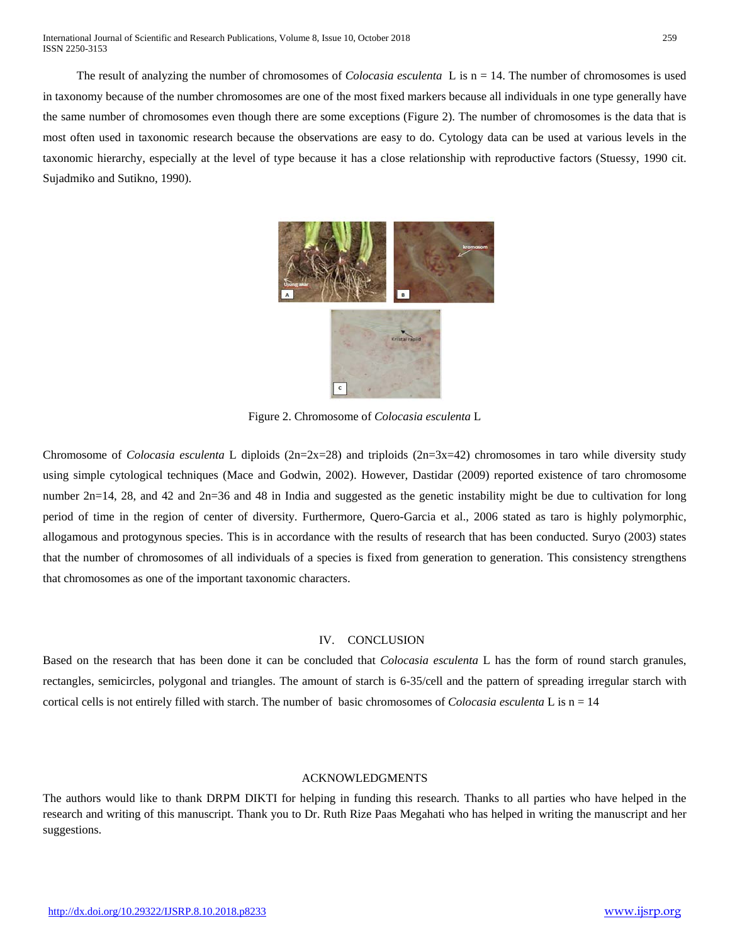The result of analyzing the number of chromosomes of *Colocasia esculenta* L is  $n = 14$ . The number of chromosomes is used in taxonomy because of the number chromosomes are one of the most fixed markers because all individuals in one type generally have the same number of chromosomes even though there are some exceptions (Figure 2). The number of chromosomes is the data that is most often used in taxonomic research because the observations are easy to do. Cytology data can be used at various levels in the taxonomic hierarchy, especially at the level of type because it has a close relationship with reproductive factors (Stuessy, 1990 cit. Sujadmiko and Sutikno, 1990).



Figure 2. Chromosome of *Colocasia esculenta* L

Chromosome of *Colocasia esculenta* L diploids (2n=2x=28) and triploids (2n=3x=42) chromosomes in taro while diversity study using simple cytological techniques (Mace and Godwin, 2002). However, Dastidar (2009) reported existence of taro chromosome number 2n=14, 28, and 42 and 2n=36 and 48 in India and suggested as the genetic instability might be due to cultivation for long period of time in the region of center of diversity. Furthermore, Quero-Garcia et al., 2006 stated as taro is highly polymorphic, allogamous and protogynous species. This is in accordance with the results of research that has been conducted. Suryo (2003) states that the number of chromosomes of all individuals of a species is fixed from generation to generation. This consistency strengthens that chromosomes as one of the important taxonomic characters.

# IV. CONCLUSION

Based on the research that has been done it can be concluded that *Colocasia esculenta* L has the form of round starch granules, rectangles, semicircles, polygonal and triangles. The amount of starch is 6-35/cell and the pattern of spreading irregular starch with cortical cells is not entirely filled with starch. The number of basic chromosomes of *Colocasia esculenta* L is n = 14

## ACKNOWLEDGMENTS

The authors would like to thank DRPM DIKTI for helping in funding this research. Thanks to all parties who have helped in the research and writing of this manuscript. Thank you to Dr. Ruth Rize Paas Megahati who has helped in writing the manuscript and her suggestions.